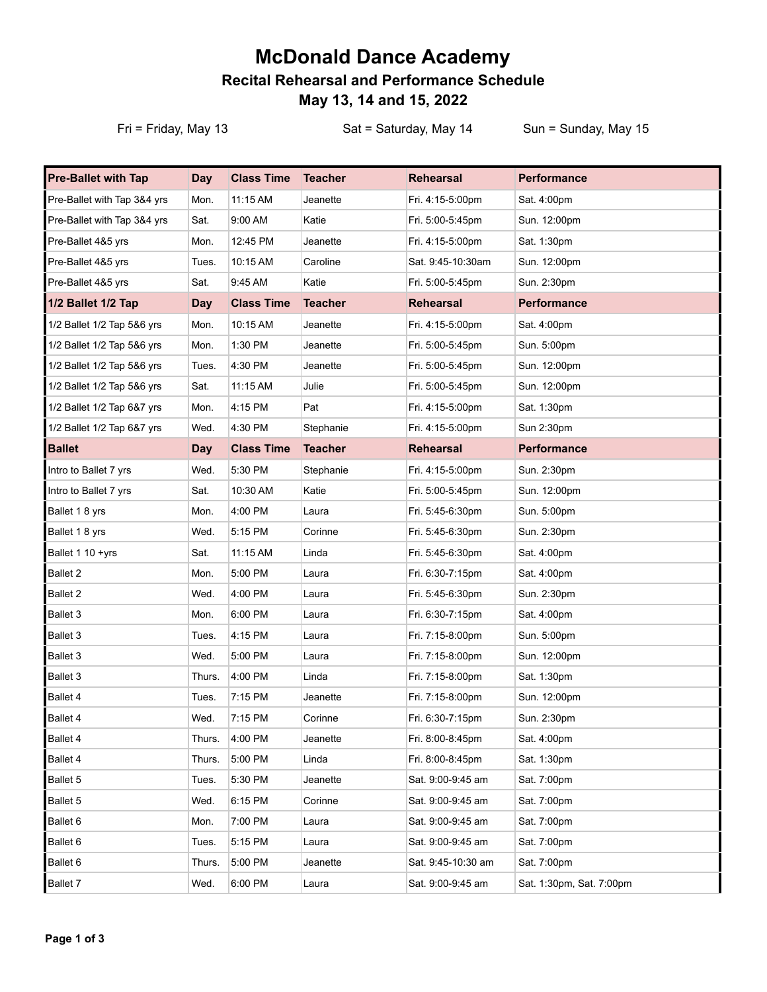## **McDonald Dance Academy Recital Rehearsal and Performance Schedule May 13, 14 and 15, 2022**

Fri = Friday, May 13 Sat = Saturday, May 14 Sun = Sunday, May 15

| <b>Pre-Ballet with Tap</b>  | <b>Day</b> | <b>Class Time</b> | <b>Teacher</b> | <b>Rehearsal</b>   | Performance              |
|-----------------------------|------------|-------------------|----------------|--------------------|--------------------------|
| Pre-Ballet with Tap 3&4 yrs | Mon.       | 11:15 AM          | Jeanette       | Fri. 4:15-5:00pm   | Sat. 4:00pm              |
| Pre-Ballet with Tap 3&4 yrs | Sat.       | 9:00 AM           | Katie          | Fri. 5:00-5:45pm   | Sun. 12:00pm             |
| Pre-Ballet 4&5 yrs          | Mon.       | 12:45 PM          | Jeanette       | Fri. 4:15-5:00pm   | Sat. 1:30pm              |
| Pre-Ballet 4&5 yrs          | Tues.      | 10:15 AM          | Caroline       | Sat. 9:45-10:30am  | Sun. 12:00pm             |
| Pre-Ballet 4&5 yrs          | Sat.       | 9:45 AM           | Katie          | Fri. 5:00-5:45pm   | Sun. 2:30pm              |
| 1/2 Ballet 1/2 Tap          | Day        | <b>Class Time</b> | <b>Teacher</b> | <b>Rehearsal</b>   | <b>Performance</b>       |
| 1/2 Ballet 1/2 Tap 5&6 yrs  | Mon.       | 10:15 AM          | Jeanette       | Fri. 4:15-5:00pm   | Sat. 4:00pm              |
| 1/2 Ballet 1/2 Tap 5&6 yrs  | Mon.       | 1:30 PM           | Jeanette       | Fri. 5:00-5:45pm   | Sun. 5:00pm              |
| 1/2 Ballet 1/2 Tap 5&6 yrs  | Tues.      | 4:30 PM           | Jeanette       | Fri. 5:00-5:45pm   | Sun. 12:00pm             |
| 1/2 Ballet 1/2 Tap 5&6 yrs  | Sat.       | 11:15 AM          | Julie          | Fri. 5:00-5:45pm   | Sun. 12:00pm             |
| 1/2 Ballet 1/2 Tap 6&7 yrs  | Mon.       | 4:15 PM           | Pat            | Fri. 4:15-5:00pm   | Sat. 1:30pm              |
| 1/2 Ballet 1/2 Tap 6&7 yrs  | Wed.       | 4:30 PM           | Stephanie      | Fri. 4:15-5:00pm   | Sun 2:30pm               |
| <b>Ballet</b>               | Day        | <b>Class Time</b> | <b>Teacher</b> | <b>Rehearsal</b>   | <b>Performance</b>       |
| Intro to Ballet 7 yrs       | Wed.       | 5:30 PM           | Stephanie      | Fri. 4:15-5:00pm   | Sun. 2:30pm              |
| Intro to Ballet 7 yrs       | Sat.       | 10:30 AM          | Katie          | Fri. 5:00-5:45pm   | Sun. 12:00pm             |
| Ballet 1 8 yrs              | Mon.       | 4:00 PM           | Laura          | Fri. 5:45-6:30pm   | Sun. 5:00pm              |
| Ballet 1 8 yrs              | Wed.       | 5:15 PM           | Corinne        | Fri. 5:45-6:30pm   | Sun. 2:30pm              |
| Ballet 1 10 +yrs            | Sat.       | 11:15 AM          | Linda          | Fri. 5:45-6:30pm   | Sat. 4:00pm              |
| Ballet 2                    | Mon.       | 5:00 PM           | Laura          | Fri. 6:30-7:15pm   | Sat. 4:00pm              |
| Ballet 2                    | Wed.       | 4:00 PM           | Laura          | Fri. 5:45-6:30pm   | Sun. 2:30pm              |
| Ballet 3                    | Mon.       | 6:00 PM           | Laura          | Fri. 6:30-7:15pm   | Sat. 4:00pm              |
| Ballet 3                    | Tues.      | 4:15 PM           | Laura          | Fri. 7:15-8:00pm   | Sun. 5:00pm              |
| Ballet 3                    | Wed.       | 5:00 PM           | Laura          | Fri. 7:15-8:00pm   | Sun. 12:00pm             |
| Ballet 3                    | Thurs.     | 4:00 PM           | Linda          | Fri. 7:15-8:00pm   | Sat. 1:30pm              |
| Ballet 4                    | Tues.      | 7:15 PM           | Jeanette       | Fri. 7:15-8:00pm   | Sun. 12:00pm             |
| Ballet 4                    | Wed.       | 7:15 PM           | Corinne        | Fri. 6:30-7:15pm   | Sun. 2:30pm              |
| Ballet 4                    | Thurs.     | 4:00 PM           | Jeanette       | Fri. 8:00-8:45pm   | Sat. 4:00pm              |
| Ballet 4                    | Thurs.     | 5:00 PM           | Linda          | Fri. 8:00-8:45pm   | Sat. 1:30pm              |
| Ballet 5                    | Tues.      | 5:30 PM           | Jeanette       | Sat. 9:00-9:45 am  | Sat. 7:00pm              |
| Ballet 5                    | Wed.       | 6:15 PM           | Corinne        | Sat. 9:00-9:45 am  | Sat. 7:00pm              |
| Ballet 6                    | Mon.       | 7:00 PM           | Laura          | Sat. 9:00-9:45 am  | Sat. 7:00pm              |
| Ballet 6                    | Tues.      | 5:15 PM           | Laura          | Sat. 9:00-9:45 am  | Sat. 7:00pm              |
| Ballet 6                    | Thurs.     | 5:00 PM           | Jeanette       | Sat. 9:45-10:30 am | Sat. 7:00pm              |
| Ballet 7                    | Wed.       | 6:00 PM           | Laura          | Sat. 9:00-9:45 am  | Sat. 1:30pm, Sat. 7:00pm |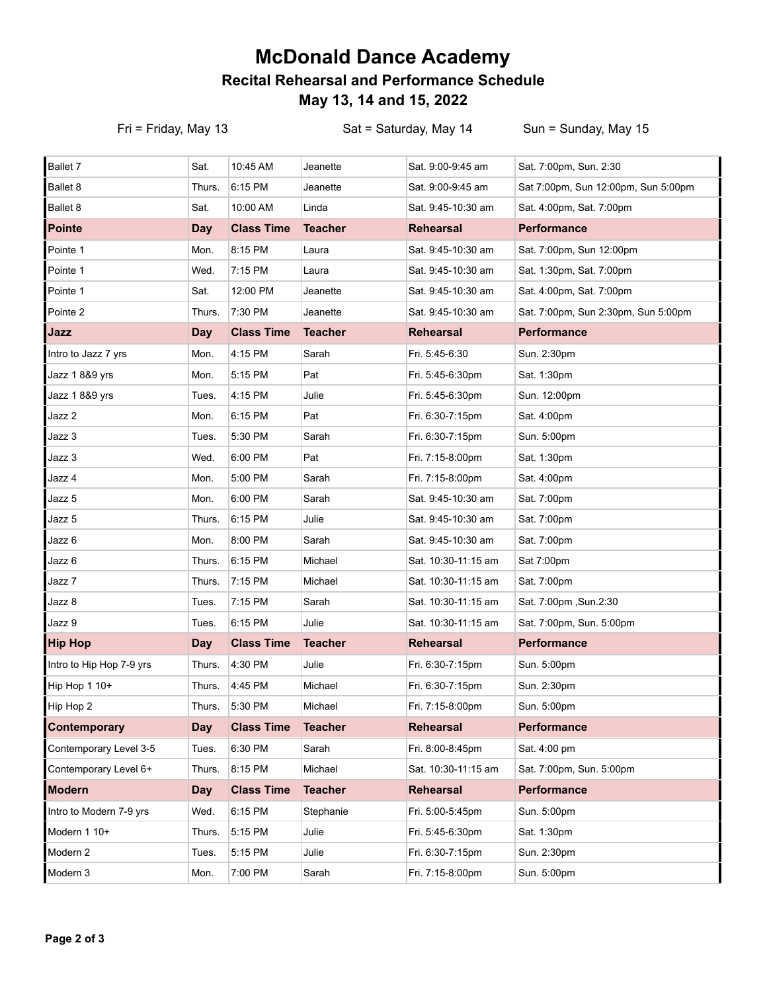## **McDonald Dance Academy Recital Rehearsal and Performance Schedule May 13, 14 and 15, 2022**

Fri = Friday, May 13 Sat = Saturday, May 14 Sun = Sunday, May 15

| Sat.       | 10:45 AM          | Jeanette       | Sat. 9:00-9:45 am   | Sat. 7:00pm, Sun. 2:30              |
|------------|-------------------|----------------|---------------------|-------------------------------------|
| Thurs.     | 6:15 PM           | Jeanette       | Sat. 9:00-9:45 am   | Sat 7:00pm, Sun 12:00pm, Sun 5:00pm |
| Sat.       | 10:00 AM          | Linda          | Sat. 9:45-10:30 am  | Sat. 4:00pm, Sat. 7:00pm            |
| Day        | <b>Class Time</b> | <b>Teacher</b> | <b>Rehearsal</b>    | <b>Performance</b>                  |
| Mon.       | 8:15 PM           | Laura          | Sat. 9:45-10:30 am  | Sat. 7:00pm, Sun 12:00pm            |
| Wed.       | 7:15 PM           | Laura          | Sat. 9:45-10:30 am  | Sat. 1:30pm, Sat. 7:00pm            |
| Sat.       | 12:00 PM          | Jeanette       | Sat. 9:45-10:30 am  | Sat. 4:00pm, Sat. 7:00pm            |
| Thurs.     | 7:30 PM           | Jeanette       | Sat. 9:45-10:30 am  | Sat. 7:00pm, Sun 2:30pm, Sun 5:00pm |
| Day        | <b>Class Time</b> | <b>Teacher</b> | <b>Rehearsal</b>    | <b>Performance</b>                  |
| Mon.       | 4:15 PM           | Sarah          | Fri. 5:45-6:30      | Sun. 2:30pm                         |
| Mon.       | 5:15 PM           | Pat            | Fri. 5:45-6:30pm    | Sat. 1:30pm                         |
| Tues.      | 4:15 PM           | Julie          | Fri. 5:45-6:30pm    | Sun. 12:00pm                        |
| Mon.       | 6:15 PM           | Pat            | Fri. 6:30-7:15pm    | Sat. 4:00pm                         |
| Tues.      | 5:30 PM           | Sarah          | Fri. 6:30-7:15pm    | Sun. 5:00pm                         |
| Wed.       | 6:00 PM           | Pat            | Fri. 7:15-8:00pm    | Sat. 1:30pm                         |
| Mon.       | 5:00 PM           | Sarah          | Fri. 7:15-8:00pm    | Sat. 4:00pm                         |
| Mon.       | 6:00 PM           | Sarah          | Sat. 9:45-10:30 am  | Sat. 7:00pm                         |
| Thurs.     | 6:15 PM           | Julie          | Sat. 9:45-10:30 am  | Sat. 7:00pm                         |
| Mon.       | 8:00 PM           | Sarah          | Sat. 9:45-10:30 am  | Sat. 7:00pm                         |
| Thurs.     | 6:15 PM           | Michael        | Sat. 10:30-11:15 am | Sat 7:00pm                          |
| Thurs.     | 7:15 PM           | Michael        | Sat. 10:30-11:15 am | Sat. 7:00pm                         |
| Tues.      | 7:15 PM           | Sarah          | Sat. 10:30-11:15 am | Sat. 7:00pm, Sun.2:30               |
| Tues.      | 6:15 PM           | Julie          | Sat. 10:30-11:15 am | Sat. 7:00pm, Sun. 5:00pm            |
| <b>Day</b> | <b>Class Time</b> | <b>Teacher</b> | <b>Rehearsal</b>    | <b>Performance</b>                  |
| Thurs.     | 4:30 PM           | Julie          | Fri. 6:30-7:15pm    | Sun. 5:00pm                         |
| Thurs.     | 4:45 PM           | Michael        | Fri. 6:30-7:15pm    | Sun. 2:30pm                         |
| Thurs.     | 5:30 PM           | Michael        | Fri. 7:15-8:00pm    | Sun. 5:00pm                         |
| Day        | <b>Class Time</b> | <b>Teacher</b> | <b>Rehearsal</b>    | <b>Performance</b>                  |
| Tues.      | 6:30 PM           | Sarah          | Fri. 8:00-8:45pm    | Sat. 4:00 pm                        |
| Thurs.     | 8:15 PM           | Michael        | Sat. 10:30-11:15 am | Sat. 7:00pm, Sun. 5:00pm            |
| <b>Day</b> | <b>Class Time</b> | <b>Teacher</b> | Rehearsal           | <b>Performance</b>                  |
| Wed.       | 6:15 PM           | Stephanie      | Fri. 5:00-5:45pm    | Sun. 5:00pm                         |
| Thurs.     | 5:15 PM           | Julie          | Fri. 5:45-6:30pm    | Sat. 1:30pm                         |
| Tues.      | 5:15 PM           | Julie          | Fri. 6:30-7:15pm    | Sun. 2:30pm                         |
| Mon.       | 7:00 PM           | Sarah          | Fri. 7:15-8:00pm    | Sun. 5:00pm                         |
|            |                   |                |                     |                                     |